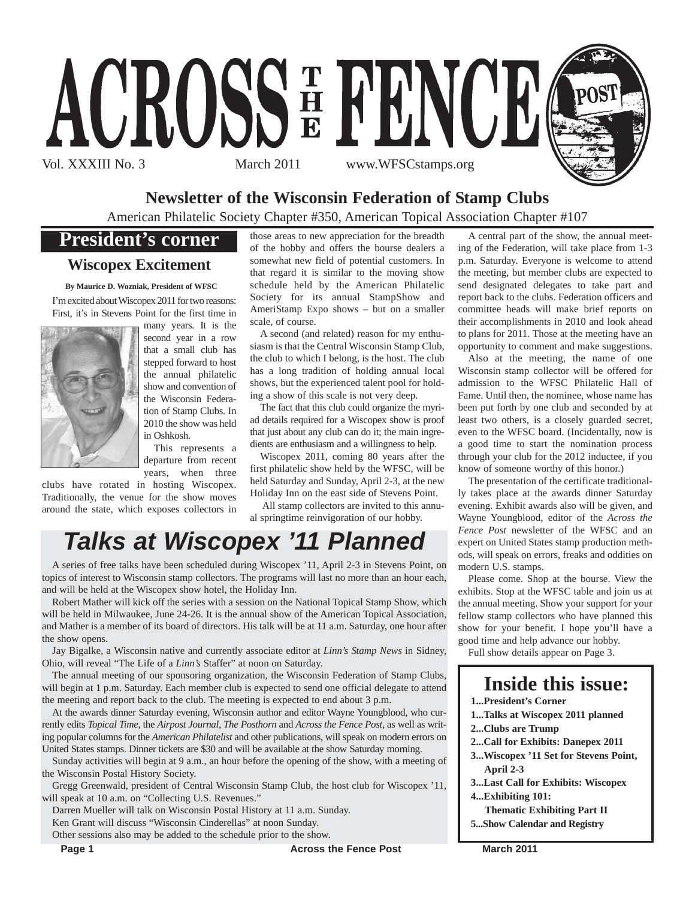

## **Newsletter of the Wisconsin Federation of Stamp Clubs**

American Philatelic Society Chapter #350, American Topical Association Chapter #107

## **President's corner**

### **Wiscopex Excitement**

**By Maurice D. Wozniak, President of WFSC** I'm excited about Wiscopex 2011 for two reasons:

First, it's in Stevens Point for the first time in



many years. It is the second year in a row that a small club has stepped forward to host the annual philatelic show and convention of the Wisconsin Federation of Stamp Clubs. In 2010 the show was held in Oshkosh.

This represents a departure from recent years, when three

clubs have rotated in hosting Wiscopex. Traditionally, the venue for the show moves around the state, which exposes collectors in those areas to new appreciation for the breadth of the hobby and offers the bourse dealers a somewhat new field of potential customers. In that regard it is similar to the moving show schedule held by the American Philatelic Society for its annual StampShow and AmeriStamp Expo shows – but on a smaller scale, of course.

A second (and related) reason for my enthusiasm is that the Central Wisconsin Stamp Club, the club to which I belong, is the host. The club has a long tradition of holding annual local shows, but the experienced talent pool for holding a show of this scale is not very deep.

The fact that this club could organize the myriad details required for a Wiscopex show is proof that just about any club can do it; the main ingredients are enthusiasm and a willingness to help.

Wiscopex 2011, coming 80 years after the first philatelic show held by the WFSC, will be held Saturday and Sunday, April 2-3, at the new Holiday Inn on the east side of Stevens Point.

All stamp collectors are invited to this annual springtime reinvigoration of our hobby.

## *Talks at Wiscopex '11 Planned*

A series of free talks have been scheduled during Wiscopex '11, April 2-3 in Stevens Point, on topics of interest to Wisconsin stamp collectors. The programs will last no more than an hour each, and will be held at the Wiscopex show hotel, the Holiday Inn.

Robert Mather will kick off the series with a session on the National Topical Stamp Show, which will be held in Milwaukee, June 24-26. It is the annual show of the American Topical Association, and Mather is a member of its board of directors. His talk will be at 11 a.m. Saturday, one hour after the show opens.

Jay Bigalke, a Wisconsin native and currently associate editor at *Linn's Stamp News* in Sidney, Ohio, will reveal "The Life of a *Linn's* Staffer" at noon on Saturday.

The annual meeting of our sponsoring organization, the Wisconsin Federation of Stamp Clubs, will begin at 1 p.m. Saturday. Each member club is expected to send one official delegate to attend the meeting and report back to the club. The meeting is expected to end about 3 p.m.

At the awards dinner Saturday evening, Wisconsin author and editor Wayne Youngblood, who currently edits *Topical Time*, the *Airpost Journal*, *The Posthorn* and *Across the Fence Post*, as well as writing popular columns for the *American Philatelist* and other publications, will speak on modern errors on United States stamps. Dinner tickets are \$30 and will be available at the show Saturday morning.

Sunday activities will begin at 9 a.m., an hour before the opening of the show, with a meeting of the Wisconsin Postal History Society.

Gregg Greenwald, president of Central Wisconsin Stamp Club, the host club for Wiscopex '11, will speak at 10 a.m. on "Collecting U.S. Revenues."

Darren Mueller will talk on Wisconsin Postal History at 11 a.m. Sunday.

Ken Grant will discuss "Wisconsin Cinderellas" at noon Sunday.

Other sessions also may be added to the schedule prior to the show.

A central part of the show, the annual meeting of the Federation, will take place from 1-3 p.m. Saturday. Everyone is welcome to attend the meeting, but member clubs are expected to send designated delegates to take part and report back to the clubs. Federation officers and committee heads will make brief reports on their accomplishments in 2010 and look ahead to plans for 2011. Those at the meeting have an opportunity to comment and make suggestions.

Also at the meeting, the name of one Wisconsin stamp collector will be offered for admission to the WFSC Philatelic Hall of Fame. Until then, the nominee, whose name has been put forth by one club and seconded by at least two others, is a closely guarded secret, even to the WFSC board. (Incidentally, now is a good time to start the nomination process through your club for the 2012 inductee, if you know of someone worthy of this honor.)

The presentation of the certificate traditionally takes place at the awards dinner Saturday evening. Exhibit awards also will be given, and Wayne Youngblood, editor of the *Across the Fence Post* newsletter of the WFSC and an expert on United States stamp production methods, will speak on errors, freaks and oddities on modern U.S. stamps.

Please come. Shop at the bourse. View the exhibits. Stop at the WFSC table and join us at the annual meeting. Show your support for your fellow stamp collectors who have planned this show for your benefit. I hope you'll have a good time and help advance our hobby.

Full show details appear on Page 3.

## **Inside this issue:**

- **1...President's Corner**
- **1...Talks at Wiscopex 2011 planned**
- **2...Clubs are Trump**
- **2...Call for Exhibits: Danepex 2011**
- **3...Wiscopex '11 Set for Stevens Point, April 2-3**
- **3...Last Call for Exhibits: Wiscopex**

**4...Exhibiting 101:**

**Thematic Exhibiting Part II 5...Show Calendar and Registry**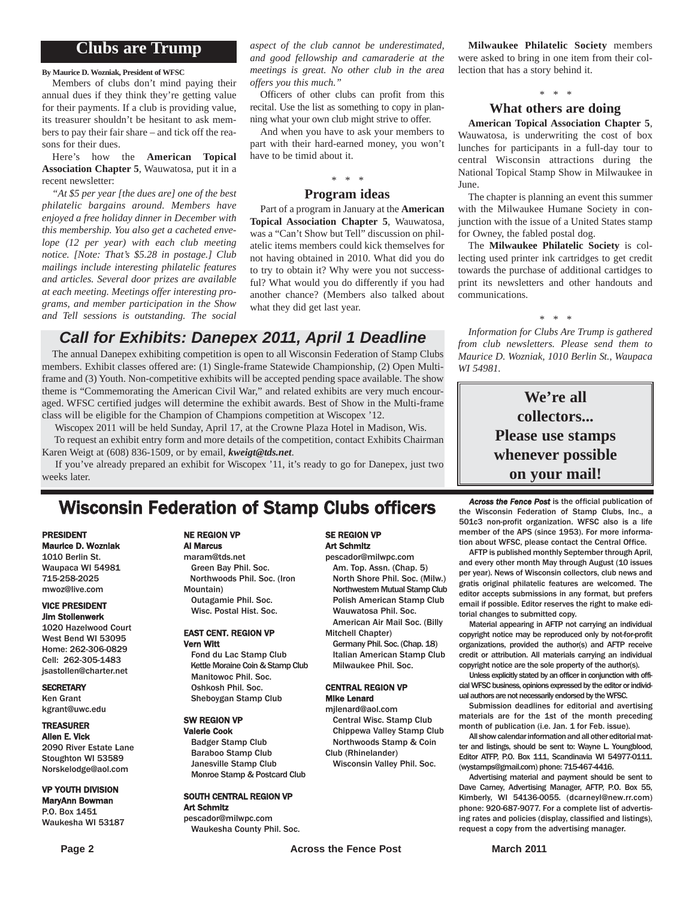### **Clubs are Trump**

**By Maurice D. Wozniak, President of WFSC**

Members of clubs don't mind paying their annual dues if they think they're getting value for their payments. If a club is providing value, its treasurer shouldn't be hesitant to ask members to pay their fair share – and tick off the reasons for their dues.

Here's how the **American Topical Association Chapter 5**, Wauwatosa, put it in a recent newsletter:

*"At \$5 per year [the dues are] one of the best philatelic bargains around. Members have enjoyed a free holiday dinner in December with this membership. You also get a cacheted envelope (12 per year) with each club meeting notice. [Note: That's \$5.28 in postage.] Club mailings include interesting philatelic features and articles. Several door prizes are available at each meeting. Meetings offer interesting programs, and member participation in the Show and Tell sessions is outstanding. The social*

*aspect of the club cannot be underestimated, and good fellowship and camaraderie at the meetings is great. No other club in the area offers you this much."*

Officers of other clubs can profit from this recital. Use the list as something to copy in planning what your own club might strive to offer.

And when you have to ask your members to part with their hard-earned money, you won't have to be timid about it.

#### *\* \* \** **Program ideas**

Part of a program in January at the **American Topical Association Chapter 5**, Wauwatosa, was a "Can't Show but Tell" discussion on philatelic items members could kick themselves for not having obtained in 2010. What did you do to try to obtain it? Why were you not successful? What would you do differently if you had another chance? (Members also talked about what they did get last year.

## *Call for Exhibits: Danepex 2011, April 1 Deadline*

The annual Danepex exhibiting competition is open to all Wisconsin Federation of Stamp Clubs members. Exhibit classes offered are: (1) Single-frame Statewide Championship, (2) Open Multiframe and (3) Youth. Non-competitive exhibits will be accepted pending space available. The show theme is "Commemorating the American Civil War," and related exhibits are very much encouraged. WFSC certified judges will determine the exhibit awards. Best of Show in the Multi-frame class will be eligible for the Champion of Champions competition at Wiscopex '12.

Wiscopex 2011 will be held Sunday, April 17, at the Crowne Plaza Hotel in Madison, Wis. To request an exhibit entry form and more details of the competition, contact Exhibits Chairman Karen Weigt at (608) 836-1509, or by email, *kweigt@tds.net*.

If you've already prepared an exhibit for Wiscopex '11, it's ready to go for Danepex, just two weeks later.

## **Wisconsin Federation of Stamp Clubs officers** *Across the Fence Post* is the official publication of stamp Clubs, Inc., a

#### PRESIDENT Maurice D. Wozniak

1010 Berlin St. Waupaca WI 54981 715-258-2025 mwoz@live.com

#### VICE PRESIDENT Jim Stollenwerk

1020 Hazelwood Court West Bend WI 53095 Home: 262-306-0829 Cell: 262-305-1483 jsastollen@charter.net

#### **SECRETARY**

Ken Grant kgrant@uwc.edu

#### TREASURER

Allen E. Vick 2090 River Estate Lane Stoughton WI 53589 Norskelodge@aol.com

#### VP YOUTH DIVISION MaryAnn Bowman

P.O. Box 1451 Waukesha WI 53187

#### NE REGION VP Al Marcus

maram@tds.net Green Bay Phil. Soc. Northwoods Phil. Soc. (Iron Mountain) Outagamie Phil. Soc. Wisc. Postal Hist. Soc.

#### EAST CENT. REGION VP Vern Witt

Fond du Lac Stamp Club Kettle Moraine Coin & Stamp Club Manitowoc Phil. Soc. Oshkosh Phil. Soc. Sheboygan Stamp Club

#### SW REGION VP Valerie Cook

Badger Stamp Club Baraboo Stamp Club Janesville Stamp Club Monroe Stamp & Postcard Club

#### SOUTH CENTRAL REGION VP Art Schmitz pescador@milwpc.com

Waukesha County Phil. Soc.

#### SE REGION VP Art Schmitz

pescador@milwpc.com Am. Top. Assn. (Chap. 5) North Shore Phil. Soc. (Milw.) Northwestern Mutual Stamp Club Polish American Stamp Club Wauwatosa Phil. Soc. American Air Mail Soc. (Billy

Mitchell Chapter) Germany Phil. Soc. (Chap. 18)

Italian American Stamp Club Milwaukee Phil. Soc.

#### CENTRAL REGION VP Mike Lenard

mjlenard@aol.com Central Wisc. Stamp Club Chippewa Valley Stamp Club Northwoods Stamp & Coin Club (Rhinelander)

Wisconsin Valley Phil. Soc.

**Milwaukee Philatelic Society** members were asked to bring in one item from their collection that has a story behind it.

## *\* \* \**

### **What others are doing**

**American Topical Association Chapter 5**, Wauwatosa, is underwriting the cost of box lunches for participants in a full-day tour to central Wisconsin attractions during the National Topical Stamp Show in Milwaukee in June.

The chapter is planning an event this summer with the Milwaukee Humane Society in conjunction with the issue of a United States stamp for Owney, the fabled postal dog.

The **Milwaukee Philatelic Society** is collecting used printer ink cartridges to get credit towards the purchase of additional cartidges to print its newsletters and other handouts and communications.

#### *\* \* \**

*Information for Clubs Are Trump is gathered from club newsletters. Please send them to Maurice D. Wozniak, 1010 Berlin St., Waupaca WI 54981.*

> **We're all collectors... Please use stamps whenever possible on your mail!**

the Wisconsin Federation of Stamp Clubs, Inc., a 501c3 non-profit organization. WFSC also is a life member of the APS (since 1953). For more information about WFSC, please contact the Central Office.

AFTP is published monthly September through April, and every other month May through August (10 issues per year). News of Wisconsin collectors, club news and gratis original philatelic features are welcomed. The editor accepts submissions in any format, but prefers email if possible. Editor reserves the right to make editorial changes to submitted copy.

Material appearing in AFTP not carrying an individual copyright notice may be reproduced only by not-for-profit organizations, provided the author(s) and AFTP receive credit or attribution. All materials carrying an individual copyright notice are the sole property of the author(s).

Unless explicitly stated by an officer in conjunction with official WFSC business, opinions expressed by the editor or individual authors are not necessarily endorsed by the WFSC.

Submission deadlines for editorial and avertising materials are for the 1st of the month preceding month of publication (i.e. Jan. 1 for Feb. issue).

All show calendar information and all other editorial matter and listings, should be sent to: Wayne L. Youngblood, Editor ATFP, P.O. Box 111, Scandinavia WI 54977-0111. (wystamps@gmail.com) phone: 715-467-4416.

Advertising material and payment should be sent to Dave Carney, Advertising Manager, AFTP, P.O. Box 55, Kimberly, WI 54136-0055. (dcarneyl@new.rr.com) phone: 920-687-9077. For a complete list of advertising rates and policies (display, classified and listings), request a copy from the advertising manager.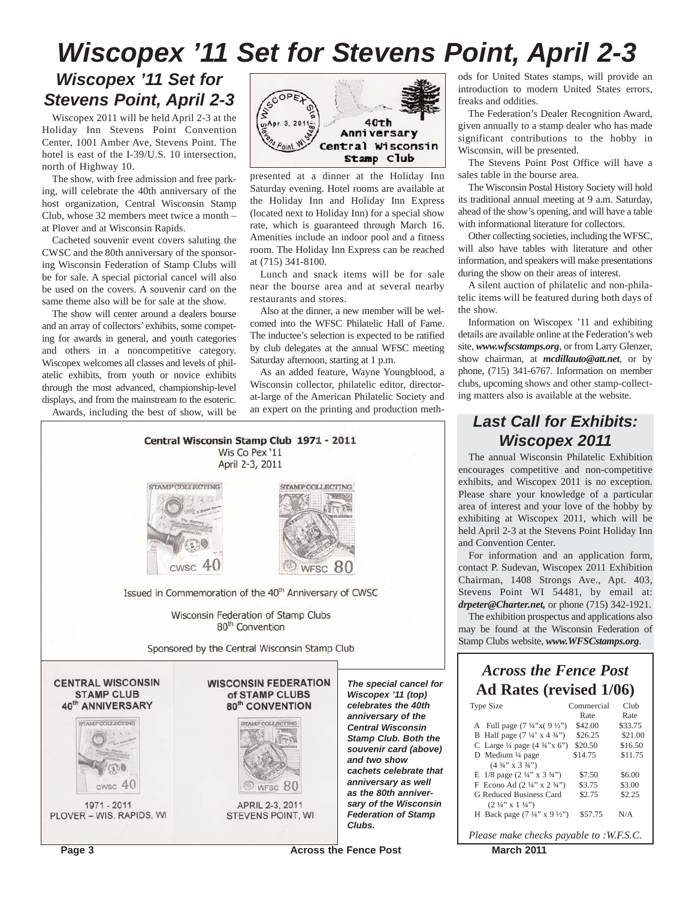## *Wiscopex '11 Set for Stevens Point, April 2-3*

## *Wiscopex '11 Set for Stevens Point, April 2-3*

Wiscopex 2011 will be held April 2-3 at the Holiday Inn Stevens Point Convention Center, 1001 Amber Ave, Stevens Point. The hotel is east of the I-39/U.S. 10 intersection, north of Highway 10.

The show, with free admission and free parking, will celebrate the 40th anniversary of the host organization, Central Wisconsin Stamp Club, whose 32 members meet twice a month – at Plover and at Wisconsin Rapids.

Cacheted souvenir event covers saluting the CWSC and the 80th anniversary of the sponsoring Wisconsin Federation of Stamp Clubs will be for sale. A special pictorial cancel will also be used on the covers. A souvenir card on the same theme also will be for sale at the show.

The show will center around a dealers bourse and an array of collectors' exhibits, some competing for awards in general, and youth categories and others in a noncompetitive category. Wiscopex welcomes all classes and levels of philatelic exhibits, from youth or novice exhibits through the most advanced, championship-level displays, and from the mainstream to the esoteric.

Awards, including the best of show, will be



presented at a dinner at the Holiday Inn Saturday evening. Hotel rooms are available at the Holiday Inn and Holiday Inn Express (located next to Holiday Inn) for a special show rate, which is guaranteed through March 16. Amenities include an indoor pool and a fitness room. The Holiday Inn Express can be reached at (715) 341-8100.

Lunch and snack items will be for sale near the bourse area and at several nearby restaurants and stores.

Also at the dinner, a new member will be welcomed into the WFSC Philatelic Hall of Fame. The inductee's selection is expected to be ratified by club delegates at the annual WFSC meeting Saturday afternoon, starting at 1 p.m.

As an added feature, Wayne Youngblood, a Wisconsin collector, philatelic editor, directorat-large of the American Philatelic Society and an expert on the printing and production meth-



ods for United States stamps, will provide an introduction to modern United States errors, freaks and oddities.

The Federation's Dealer Recognition Award, given annually to a stamp dealer who has made significant contributions to the hobby in Wisconsin, will be presented.

The Stevens Point Post Office will have a sales table in the bourse area.

The Wisconsin Postal History Society will hold its traditional annual meeting at 9 a.m. Saturday, ahead of the show's opening, and will have a table with informational literature for collectors.

Other collecting societies, including the WFSC, will also have tables with literature and other information, and speakers will make presentations during the show on their areas of interest.

A silent auction of philatelic and non-philatelic items will be featured during both days of the show.

Information on Wiscopex '11 and exhibiting details are available online at the Federation's web site, *www.wfscstamps.org*, or from Larry Glenzer, show chairman, at *mcdillauto@att.net*, or by phone, (715) 341-6767. Information on member clubs, upcoming shows and other stamp-collecting matters also is available at the website.

## *Last Call for Exhibits: Wiscopex 2011*

The annual Wisconsin Philatelic Exhibition encourages competitive and non-competitive exhibits, and Wiscopex 2011 is no exception. Please share your knowledge of a particular area of interest and your love of the hobby by exhibiting at Wiscopex 2011, which will be held April 2-3 at the Stevens Point Holiday Inn and Convention Center.

For information and an application form, contact P. Sudevan, Wiscopex 2011 Exhibition Chairman, 1408 Strongs Ave., Apt. 403, Stevens Point WI 54481, by email at: *drpeter@Charter.net,* or phone (715) 342-1921.

The exhibition prospectus and applications also may be found at the Wisconsin Federation of Stamp Clubs website, *www.WFSCstamps.org*.

## *Across the Fence Post* **Ad Rates (revised 1/06)**

| Type Size                                          | Commercial | Club    |
|----------------------------------------------------|------------|---------|
|                                                    | Rate       | Rate    |
| A Full page $(7\frac{1}{4}x)(9\frac{1}{2}x)$       | \$42.00    | \$33.75 |
| B Half page $(7\frac{1}{4} \times 4\frac{3}{4})$   | \$26.25    | \$21.00 |
| C Large $\frac{1}{4}$ page $(4 \frac{3}{4}$ "x 6") | \$20.50    | \$16.50 |
| D Medium $\frac{1}{4}$ page                        | \$14.75    | \$11.75 |
| $(4\frac{3}{4}$ " x 3 $\frac{3}{4}$ ")             |            |         |
| E $1/8$ page $(2\frac{1}{4}$ " x $3\frac{3}{4}$ ") | \$7.50     | \$6.00  |
| F Econo Ad $(2\frac{1}{4}$ " x $2\frac{3}{4}$ ")   | \$3.75     | \$3.00  |
| G Reduced Business Card                            | \$2.75     | \$2.25  |
| $(2 \frac{1}{4}$ " x 1 $\frac{1}{4}$ ")            |            |         |
| H Back page $(7\frac{1}{4}$ " x 9 ½")              | \$57.75    | N/A     |
| Please make checks pavable to :W.F.S.C.            |            |         |

**Page 3** March 2011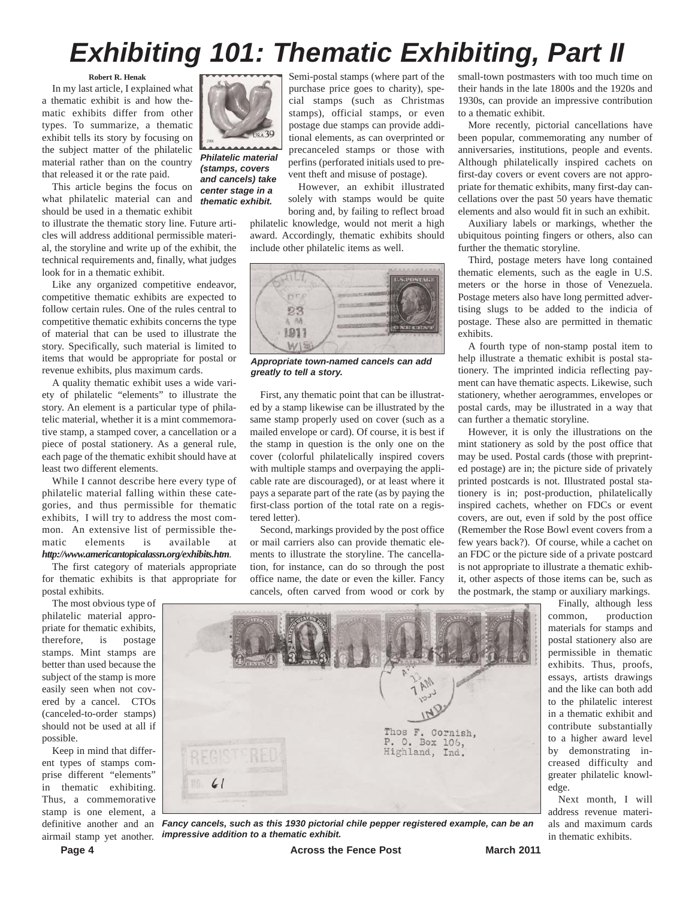## *Exhibiting 101: Thematic Exhibiting, Part II*

#### **Robert R. Henak**

In my last article, I explained what a thematic exhibit is and how thematic exhibits differ from other types. To summarize, a thematic exhibit tells its story by focusing on the subject matter of the philatelic material rather than on the country that released it or the rate paid.

This article begins the focus on what philatelic material can and should be used in a thematic exhibit

to illustrate the thematic story line. Future articles will address additional permissible material, the storyline and write up of the exhibit, the technical requirements and, finally, what judges look for in a thematic exhibit.

Like any organized competitive endeavor, competitive thematic exhibits are expected to follow certain rules. One of the rules central to competitive thematic exhibits concerns the type of material that can be used to illustrate the story. Specifically, such material is limited to items that would be appropriate for postal or revenue exhibits, plus maximum cards.

A quality thematic exhibit uses a wide variety of philatelic "elements" to illustrate the story. An element is a particular type of philatelic material, whether it is a mint commemorative stamp, a stamped cover, a cancellation or a piece of postal stationery. As a general rule, each page of the thematic exhibit should have at least two different elements.

While I cannot describe here every type of philatelic material falling within these categories, and thus permissible for thematic exhibits, I will try to address the most common. An extensive list of permissible thematic elements is available at *http://www.americantopicalassn.org/exhibits.htm*.

The first category of materials appropriate for thematic exhibits is that appropriate for postal exhibits.

The most obvious type of philatelic material appropriate for thematic exhibits, therefore, is postage stamps. Mint stamps are better than used because the subject of the stamp is more easily seen when not covered by a cancel. CTOs (canceled-to-order stamps) should not be used at all if possible.

Keep in mind that different types of stamps comprise different "elements" in thematic exhibiting. Thus, a commemorative stamp is one element, a



*Philatelic material (stamps, covers and cancels) take center stage in a thematic exhibit.*

Semi-postal stamps (where part of the purchase price goes to charity), special stamps (such as Christmas stamps), official stamps, or even postage due stamps can provide additional elements, as can overprinted or precanceled stamps or those with perfins (perforated initials used to prevent theft and misuse of postage).

However, an exhibit illustrated solely with stamps would be quite boring and, by failing to reflect broad

philatelic knowledge, would not merit a high award. Accordingly, thematic exhibits should include other philatelic items as well.



*Appropriate town-named cancels can add greatly to tell a story.*

First, any thematic point that can be illustrated by a stamp likewise can be illustrated by the same stamp properly used on cover (such as a mailed envelope or card). Of course, it is best if the stamp in question is the only one on the cover (colorful philatelically inspired covers with multiple stamps and overpaying the applicable rate are discouraged), or at least where it pays a separate part of the rate (as by paying the first-class portion of the total rate on a registered letter).

Second, markings provided by the post office or mail carriers also can provide thematic elements to illustrate the storyline. The cancellation, for instance, can do so through the post office name, the date or even the killer. Fancy cancels, often carved from wood or cork by

small-town postmasters with too much time on their hands in the late 1800s and the 1920s and 1930s, can provide an impressive contribution to a thematic exhibit.

More recently, pictorial cancellations have been popular, commemorating any number of anniversaries, institutions, people and events. Although philatelically inspired cachets on first-day covers or event covers are not appropriate for thematic exhibits, many first-day cancellations over the past 50 years have thematic elements and also would fit in such an exhibit.

Auxiliary labels or markings, whether the ubiquitous pointing fingers or others, also can further the thematic storyline.

Third, postage meters have long contained thematic elements, such as the eagle in U.S. meters or the horse in those of Venezuela. Postage meters also have long permitted advertising slugs to be added to the indicia of postage. These also are permitted in thematic exhibits.

A fourth type of non-stamp postal item to help illustrate a thematic exhibit is postal stationery. The imprinted indicia reflecting payment can have thematic aspects. Likewise, such stationery, whether aerogrammes, envelopes or postal cards, may be illustrated in a way that can further a thematic storyline.

However, it is only the illustrations on the mint stationery as sold by the post office that may be used. Postal cards (those with preprinted postage) are in; the picture side of privately printed postcards is not. Illustrated postal stationery is in; post-production, philatelically inspired cachets, whether on FDCs or event covers, are out, even if sold by the post office (Remember the Rose Bowl event covers from a few years back?). Of course, while a cachet on an FDC or the picture side of a private postcard is not appropriate to illustrate a thematic exhibit, other aspects of those items can be, such as the postmark, the stamp or auxiliary markings.

Finally, although less common, production materials for stamps and postal stationery also are permissible in thematic exhibits. Thus, proofs, essays, artists drawings and the like can both add to the philatelic interest in a thematic exhibit and contribute substantially to a higher award level by demonstrating increased difficulty and greater philatelic knowledge.

Next month, I will address revenue materials and maximum cards in thematic exhibits.



definitive another and an *Fancy cancels, such as this 1930 pictorial chile pepper registered example, can be an* airmail stamp yet another. *impressive addition to a thematic exhibit.*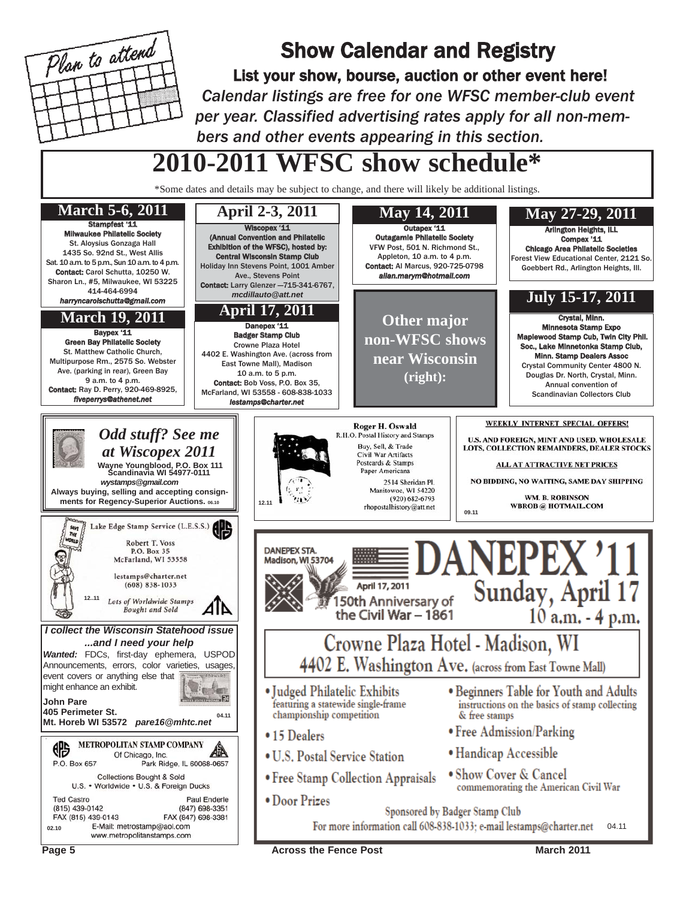